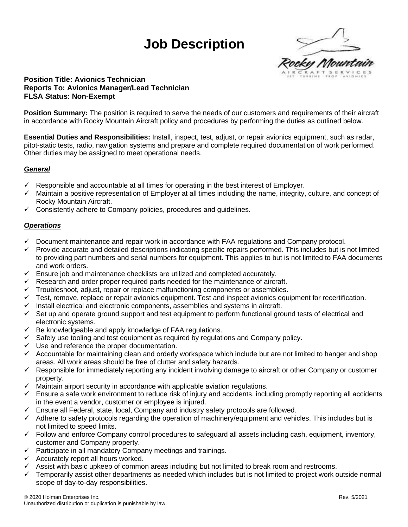# **Job Description**



## **Position Title: Avionics Technician Reports To: Avionics Manager/Lead Technician FLSA Status: Non-Exempt**

**Position Summary:** The position is required to serve the needs of our customers and requirements of their aircraft in accordance with Rocky Mountain Aircraft policy and procedures by performing the duties as outlined below.

**Essential Duties and Responsibilities:** Install, inspect, test, adjust, or repair avionics equipment, such as radar, pitot-static tests, radio, navigation systems and prepare and complete required documentation of work performed. Other duties may be assigned to meet operational needs.

## *General*

- $\checkmark$  Responsible and accountable at all times for operating in the best interest of Employer.
- $\checkmark$  Maintain a positive representation of Employer at all times including the name, integrity, culture, and concept of Rocky Mountain Aircraft.
- $\checkmark$  Consistently adhere to Company policies, procedures and guidelines.

## *Operations*

- ✓ Document maintenance and repair work in accordance with FAA regulations and Company protocol.
- ✓ Provide accurate and detailed descriptions indicating specific repairs performed. This includes but is not limited to providing part numbers and serial numbers for equipment. This applies to but is not limited to FAA documents and work orders.
- $\checkmark$  Ensure job and maintenance checklists are utilized and completed accurately.
- $\checkmark$  Research and order proper required parts needed for the maintenance of aircraft.
- $\checkmark$  Troubleshoot, adjust, repair or replace malfunctioning components or assemblies.
- $\checkmark$  Test, remove, replace or repair avionics equipment. Test and inspect avionics equipment for recertification.
- $\checkmark$  Install electrical and electronic components, assemblies and systems in aircraft.
- $\checkmark$  Set up and operate ground support and test equipment to perform functional ground tests of electrical and electronic systems.
- $\checkmark$  Be knowledgeable and apply knowledge of FAA regulations.
- $\checkmark$  Safely use tooling and test equipment as required by regulations and Company policy.
- $\checkmark$  Use and reference the proper documentation.
- $\checkmark$  Accountable for maintaining clean and orderly workspace which include but are not limited to hanger and shop areas. All work areas should be free of clutter and safety hazards.
- ✓ Responsible for immediately reporting any incident involving damage to aircraft or other Company or customer property.
- $\checkmark$  Maintain airport security in accordance with applicable aviation regulations.
- $\checkmark$  Ensure a safe work environment to reduce risk of injury and accidents, including promptly reporting all accidents in the event a vendor, customer or employee is injured.
- $\checkmark$  Ensure all Federal, state, local, Company and industry safety protocols are followed.
- $\checkmark$  Adhere to safety protocols regarding the operation of machinery/equipment and vehicles. This includes but is not limited to speed limits.
- $\checkmark$  Follow and enforce Company control procedures to safeguard all assets including cash, equipment, inventory, customer and Company property.
- ✓ Participate in all mandatory Company meetings and trainings.
- $\checkmark$  Accurately report all hours worked.
- ✓ Assist with basic upkeep of common areas including but not limited to break room and restrooms.
- Temporarily assist other departments as needed which includes but is not limited to project work outside normal scope of day-to-day responsibilities.